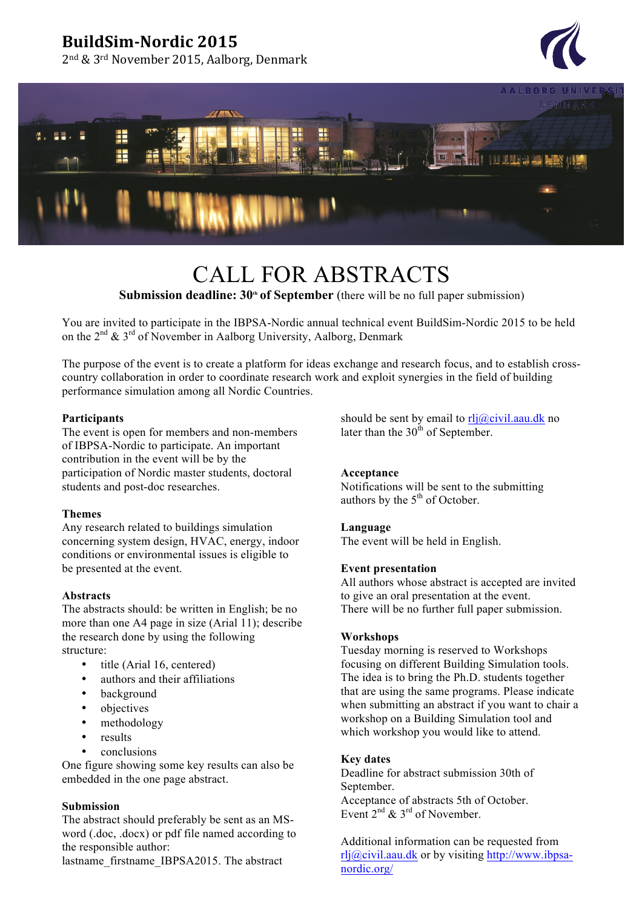## **BuildSim-Nordic 2015**

2<sup>nd</sup> & 3<sup>rd</sup> November 2015, Aalborg, Denmark





# CALL FOR ABSTRACTS

**Submission deadline: 30<sup>th</sup> of September** (there will be no full paper submission)

You are invited to participate in the IBPSA-Nordic annual technical event BuildSim-Nordic 2015 to be held on the  $2^{nd}$  &  $3^{rd}$  of November in Aalborg University, Aalborg, Denmark

The purpose of the event is to create a platform for ideas exchange and research focus, and to establish crosscountry collaboration in order to coordinate research work and exploit synergies in the field of building performance simulation among all Nordic Countries.

#### **Participants**

The event is open for members and non-members of IBPSA-Nordic to participate. An important contribution in the event will be by the participation of Nordic master students, doctoral students and post-doc researches.

#### **Themes**

Any research related to buildings simulation concerning system design, HVAC, energy, indoor conditions or environmental issues is eligible to be presented at the event.

#### **Abstracts**

The abstracts should: be written in English; be no more than one A4 page in size (Arial 11); describe the research done by using the following structure:

- title (Arial 16, centered)
- authors and their affiliations
- background
- objectives
- methodology
- **results**
- conclusions

One figure showing some key results can also be embedded in the one page abstract.

#### **Submission**

The abstract should preferably be sent as an MSword (.doc, .docx) or pdf file named according to the responsible author:

lastname\_firstname\_IBPSA2015. The abstract

should be sent by email to  $r\n *Ij@c*ivil.aau.dk$  no later than the  $30<sup>th</sup>$  of September.

#### **Acceptance**

Notifications will be sent to the submitting authors by the  $5<sup>th</sup>$  of October.

#### **Language**

The event will be held in English.

#### **Event presentation**

All authors whose abstract is accepted are invited to give an oral presentation at the event. There will be no further full paper submission.

#### **Workshops**

Tuesday morning is reserved to Workshops focusing on different Building Simulation tools. The idea is to bring the Ph.D. students together that are using the same programs. Please indicate when submitting an abstract if you want to chair a workshop on a Building Simulation tool and which workshop you would like to attend.

#### **Key dates**

Deadline for abstract submission 30th of September.

Acceptance of abstracts 5th of October. Event  $2^{nd}$  &  $3^{rd}$  of November.

Additional information can be requested from rlj@civil.aau.dk or by visiting http://www.ibpsanordic.org/